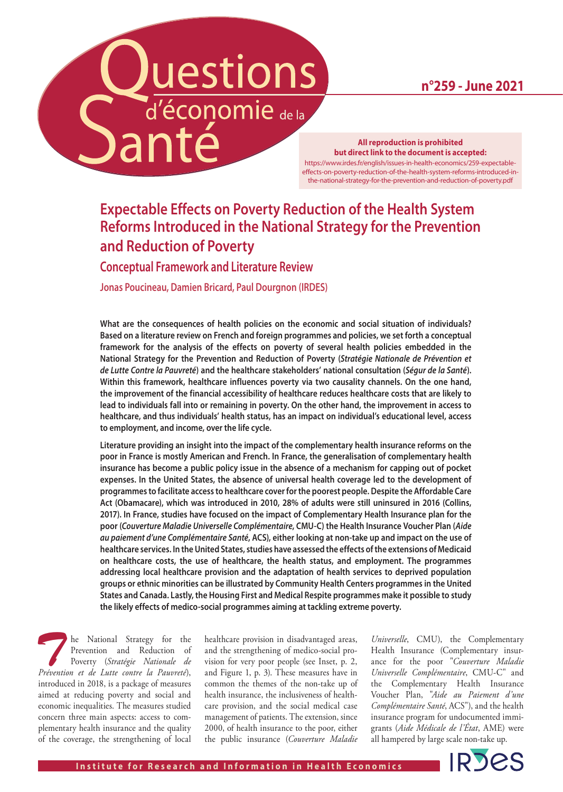**n°259 - June 2021**

# uestions d'économie de la **Danté**

#### **All reproduction is prohibited but direct link to the document is accepted:**

[https://www.irdes.fr/english/issues-in-health-economics/259-expectable](https://www.irdes.fr/english/issues-in-health-economics/259-expectable-effects-on-poverty-reduction-of-the-health-system-reforms-introduced-in-the-national-strategy-for-the-prevention-and-reduction-of-poverty.pdf)[effects-on-poverty-reduction-of-the-health-system-reforms-introduced-in](https://www.irdes.fr/english/issues-in-health-economics/259-expectable-effects-on-poverty-reduction-of-the-health-system-reforms-introduced-in-the-national-strategy-for-the-prevention-and-reduction-of-poverty.pdf)[the-national-strategy-for-the-prevention-and-reduction-of-poverty.pdf](https://www.irdes.fr/english/issues-in-health-economics/259-expectable-effects-on-poverty-reduction-of-the-health-system-reforms-introduced-in-the-national-strategy-for-the-prevention-and-reduction-of-poverty.pdf)

### **Expectable Effects on Poverty Reduction of the Health System Reforms Introduced in the National Strategy for the Prevention and Reduction of Poverty**

**Conceptual Framework and Literature Review**

**Jonas Poucineau, Damien Bricard, Paul Dourgnon (IRDES)**

**What are the consequences of health policies on the economic and social situation of individuals? Based on a literature review on French and foreign programmes and policies, we set forth a conceptual framework for the analysis of the effects on poverty of several health policies embedded in the National Strategy for the Prevention and Reduction of Poverty (***Stratégie Nationale de Prévention et de Lutte Contre la Pauvreté***) and the healthcare stakeholders' national consultation (***Ségur de la Santé***). Within this framework, healthcare influences poverty via two causality channels. On the one hand, the improvement of the financial accessibility of healthcare reduces healthcare costs that are likely to lead to individuals fall into or remaining in poverty. On the other hand, the improvement in access to healthcare, and thus individuals' health status, has an impact on individual's educational level, access to employment, and income, over the life cycle.** 

**Literature providing an insight into the impact of the complementary health insurance reforms on the poor in France is mostly American and French. In France, the generalisation of complementary health insurance has become a public policy issue in the absence of a mechanism for capping out of pocket expenses. In the United States, the absence of universal health coverage led to the development of programmes to facilitate access to healthcare cover for the poorest people. Despite the Affordable Care Act (Obamacare), which was introduced in 2010, 28% of adults were still uninsured in 2016 (Collins, 2017). In France, studies have focused on the impact of Complementary Health Insurance plan for the poor (***Couverture Maladie Universelle Complémentaire***, CMU-C) the Health Insurance Voucher Plan (***Aide au paiement d'une Complémentaire Santé***, ACS), either looking at non-take up and impact on the use of healthcare services. In the United States, studies have assessed the effects of the extensions of Medicaid on healthcare costs, the use of healthcare, the health status, and employment. The programmes addressing local healthcare provision and the adaptation of health services to deprived population groups or ethnic minorities can be illustrated by Community Health Centers programmes in the United States and Canada. Lastly, the Housing First and Medical Respite programmes make it possible to study the likely effects of medico-social programmes aiming at tackling extreme poverty.**

**The National Strategy for the Prevention and Reduction of Poverty (***Stratégie Nationale de Prévention et de Lutte contre la Pauvreté***)** Prevention and Reduction of Poverty (*Stratégie Nationale de Prévention et de Lutte contre la Pauvreté*), introduced in 2018, is a package of measures aimed at reducing poverty and social and economic inequalities. The measures studied concern three main aspects: access to complementary health insurance and the quality of the coverage, the strengthening of local

healthcare provision in disadvantaged areas, and the strengthening of medico-social provision for very poor people (see Inset, p. 2, and Figure 1, p. 3). These measures have in common the themes of the non-take up of health insurance, the inclusiveness of healthcare provision, and the social medical case management of patients. The extension, since 2000, of health insurance to the poor, either the public insurance (*Couverture Maladie* 

*Universelle*, CMU), the Complementary Health Insurance (Complementary insurance for the poor "*Couverture Maladie Universelle Complémentaire*, CMU-C" and the Complementary Health Insurance Voucher Plan, "*Aide au Paiement d'une Complémentaire Santé*, ACS"), and the health insurance program for undocumented immigrants (*Aide Médicale de l'État*, AME) were all hampered by large scale non-take up.

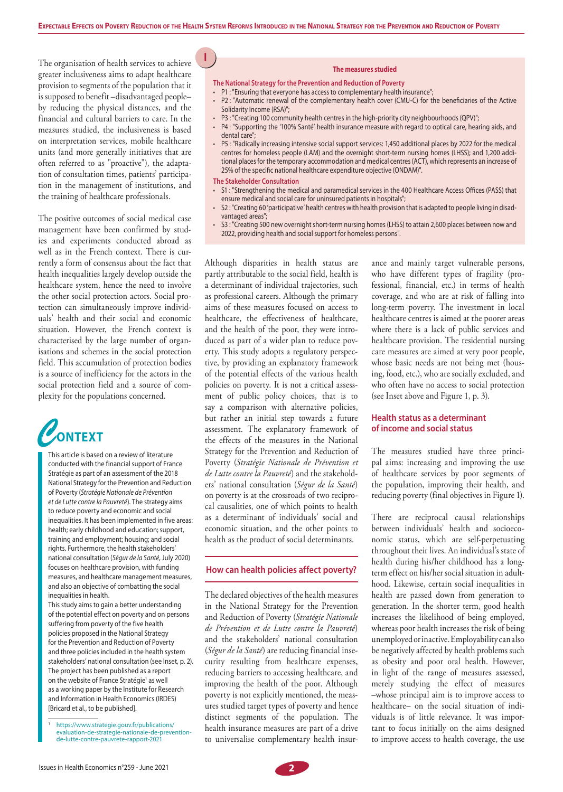**G1I**

The organisation of health services to achieve greater inclusiveness aims to adapt healthcare provision to segments of the population that it is supposed to benefit –disadvantaged people– by reducing the physical distances, and the financial and cultural barriers to care. In the measures studied, the inclusiveness is based on interpretation services, mobile healthcare units (and more generally initiatives that are often referred to as "proactive"), the adaptation of consultation times, patients' participation in the management of institutions, and the training of healthcare professionals.

The positive outcomes of social medical case management have been confirmed by studies and experiments conducted abroad as well as in the French context. There is currently a form of consensus about the fact that health inequalities largely develop outside the healthcare system, hence the need to involve the other social protection actors. Social protection can simultaneously improve individuals' health and their social and economic situation. However, the French context is characterised by the large number of organisations and schemes in the social protection field. This accumulation of protection bodies is a source of inefficiency for the actors in the social protection field and a source of complexity for the populations concerned.



This article is based on a review of literature conducted with the financial support of France Stratégie as part of an assessment of the 2018 National Strategy for the Prevention and Reduction of Poverty (*Stratégie Nationale de Prévention et de Lutte contre la Pauvreté*). The strategy aims to reduce poverty and economic and social inequalities. It has been implemented in five areas: health; early childhood and education; support, training and employment; housing; and social rights. Furthermore, the health stakeholders' national consultation (*Ségur de la Santé*, July 2020) focuses on healthcare provision, with funding measures, and healthcare management measures, and also an objective of combatting the social inequalities in health.

This study aims to gain a better understanding of the potential effect on poverty and on persons suffering from poverty of the five health policies proposed in the National Strategy for the Prevention and Reduction of Poverty and three policies included in the health system stakeholders' national consultation (see Inset, p. 2). The project has been published as a report on the website of France Stratégie<sup>1</sup> as well as a working paper by the Institute for Research and Information in Health Economics (IRDES) [Bricard et al., to be published].

#### **The measures studied**

**The National Strategy for the Prevention and Reduction of Poverty**

- P1 : "Ensuring that everyone has access to complementary health insurance";
- P2 : "Automatic renewal of the complementary health cover (CMU-C) for the beneficiaries of the Active Solidarity Income (RSA)";
- P3 : "Creating 100 community health centres in the high-priority city neighbourhoods (QPV)";
- P4 : "Supporting the '100% Santé' health insurance measure with regard to optical care, hearing aids, and dental care";
- P5 : "Radically increasing intensive social support services: 1,450 additional places by 2022 for the medical centres for homeless people (LAM) and the overnight short-term nursing homes (LHSS); and 1,200 additional places for the temporary accommodation and medical centres (ACT), which represents an increase of 25% of the specific national healthcare expenditure objective (ONDAM)".

#### **The Stakeholder Consultation**

- S1 : "Strengthening the medical and paramedical services in the 400 Healthcare Access Offices (PASS) that ensure medical and social care for uninsured patients in hospitals";
- S2 : "Creating 60 'participative' health centres with health provision that is adapted to people living in disadvantaged areas";
- S3 : "Creating 500 new overnight short-term nursing homes (LHSS) to attain 2,600 places between now and 2022, providing health and social support for homeless persons".

Although disparities in health status are partly attributable to the social field, health is a determinant of individual trajectories, such as professional careers. Although the primary aims of these measures focused on access to healthcare, the effectiveness of healthcare, and the health of the poor, they were introduced as part of a wider plan to reduce poverty. This study adopts a regulatory perspective, by providing an explanatory framework of the potential effects of the various health policies on poverty. It is not a critical assessment of public policy choices, that is to say a comparison with alternative policies, but rather an initial step towards a future assessment. The explanatory framework of the effects of the measures in the National Strategy for the Prevention and Reduction of Poverty (*Stratégie Nationale de Prévention et de Lutte contre la Pauvreté*) and the stakeholders' national consultation (*Ségur de la Santé*) on poverty is at the crossroads of two reciprocal causalities, one of which points to health as a determinant of individuals' social and economic situation, and the other points to health as the product of social determinants.

#### **How can health policies affect poverty?**

The declared objectives of the health measures in the National Strategy for the Prevention and Reduction of Poverty (*Stratégie Nationale de Prévention et de Lutte contre la Pauvreté*) and the stakeholders' national consultation (*Ségur de la Santé*) are reducing financial insecurity resulting from healthcare expenses, reducing barriers to accessing healthcare, and improving the health of the poor. Although poverty is not explicitly mentioned, the measures studied target types of poverty and hence distinct segments of the population. The health insurance measures are part of a drive to universalise complementary health insur-

ance and mainly target vulnerable persons, who have different types of fragility (professional, financial, etc.) in terms of health coverage, and who are at risk of falling into long-term poverty. The investment in local healthcare centres is aimed at the poorer areas where there is a lack of public services and healthcare provision. The residential nursing care measures are aimed at very poor people, whose basic needs are not being met (housing, food, etc.), who are socially excluded, and who often have no access to social protection (see Inset above and Figure 1, p. 3).

#### **Health status as a determinant of income and social status**

The measures studied have three principal aims: increasing and improving the use of healthcare services by poor segments of the population, improving their health, and reducing poverty (final objectives in Figure 1).

There are reciprocal causal relationships between individuals' health and socioeconomic status, which are self-perpetuating throughout their lives. An individual's state of health during his/her childhood has a longterm effect on his/her social situation in adulthood. Likewise, certain social inequalities in health are passed down from generation to generation. In the shorter term, good health increases the likelihood of being employed, whereas poor health increases the risk of being unemployed or inactive. Employability can also be negatively affected by health problems such as obesity and poor oral health. However, in light of the range of measures assessed, merely studying the effect of measures –whose principal aim is to improve access to healthcare– on the social situation of individuals is of little relevance. It was important to focus initially on the aims designed to improve access to health coverage, the use

[https://www.strategie.gouv.fr/publications/](https://www.strategie.gouv.fr/publications/evaluation-de-strategie-nationale-de-prevention-de-lutte-contre-pauvrete-rapport-2021) [evaluation-de-strategie-nationale-de-prevention](https://www.strategie.gouv.fr/publications/evaluation-de-strategie-nationale-de-prevention-de-lutte-contre-pauvrete-rapport-2021)[de-lutte-contre-pauvrete-rapport-2021](https://www.strategie.gouv.fr/publications/evaluation-de-strategie-nationale-de-prevention-de-lutte-contre-pauvrete-rapport-2021)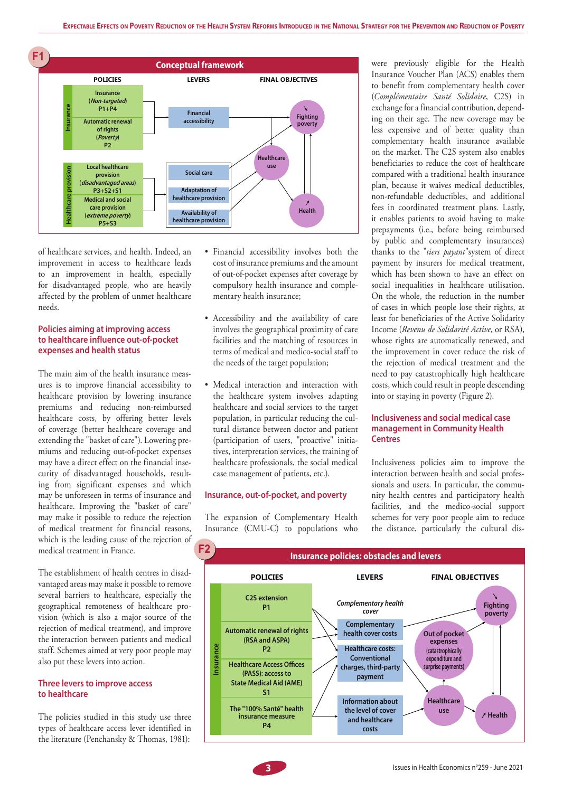

of healthcare services, and health. Indeed, an improvement in access to healthcare leads to an improvement in health, especially for disadvantaged people, who are heavily affected by the problem of unmet healthcare needs.

#### **Policies aiming at improving access to healthcare influence out-of-pocket expenses and health status**

The main aim of the health insurance measures is to improve financial accessibility to healthcare provision by lowering insurance premiums and reducing non-reimbursed healthcare costs, by offering better levels of coverage (better healthcare coverage and extending the "basket of care"). Lowering premiums and reducing out-of-pocket expenses may have a direct effect on the financial insecurity of disadvantaged households, resulting from significant expenses and which may be unforeseen in terms of insurance and healthcare. Improving the "basket of care" may make it possible to reduce the rejection of medical treatment for financial reasons, which is the leading cause of the rejection of medical treatment in France.

The establishment of health centres in disadvantaged areas may make it possible to remove several barriers to healthcare, especially the geographical remoteness of healthcare provision (which is also a major source of the rejection of medical treatment), and improve the interaction between patients and medical staff. Schemes aimed at very poor people may also put these levers into action.

#### **Three levers to improve access to healthcare**

The policies studied in this study use three types of healthcare access lever identified in the literature (Penchansky & Thomas, 1981):

- Financial accessibility involves both the cost of insurance premiums and the amount of out-of-pocket expenses after coverage by compulsory health insurance and complementary health insurance;
- Accessibility and the availability of care involves the geographical proximity of care facilities and the matching of resources in terms of medical and medico-social staff to the needs of the target population;
- Medical interaction and interaction with the healthcare system involves adapting healthcare and social services to the target population, in particular reducing the cultural distance between doctor and patient (participation of users, "proactive" initiatives, interpretation services, the training of healthcare professionals, the social medical case management of patients, etc.).

#### **Insurance, out-of-pocket, and poverty**

The expansion of Complementary Health Insurance (CMU-C) to populations who

were previously eligible for the Health Insurance Voucher Plan (ACS) enables them to benefit from complementary health cover (*Complémentaire Santé Solidaire*, C2S) in exchange for a financial contribution, depending on their age. The new coverage may be less expensive and of better quality than complementary health insurance available on the market. The C2S system also enables beneficiaries to reduce the cost of healthcare compared with a traditional health insurance plan, because it waives medical deductibles, non-refundable deductibles, and additional fees in coordinated treatment plans. Lastly, it enables patients to avoid having to make prepayments (i.e., before being reimbursed by public and complementary insurances) thanks to the "*tiers payant*"system of direct payment by insurers for medical treatment, which has been shown to have an effect on social inequalities in healthcare utilisation. On the whole, the reduction in the number of cases in which people lose their rights, at least for beneficiaries of the Active Solidarity Income (*Revenu de Solidarité Active*, or RSA), whose rights are automatically renewed, and the improvement in cover reduce the risk of the rejection of medical treatment and the need to pay catastrophically high healthcare costs, which could result in people descending into or staying in poverty (Figure 2).

#### **Inclusiveness and social medical case management in Community Health Centres**

Inclusiveness policies aim to improve the interaction between health and social professionals and users. In particular, the community health centres and participatory health facilities, and the medico-social support schemes for very poor people aim to reduce the distance, particularly the cultural dis-

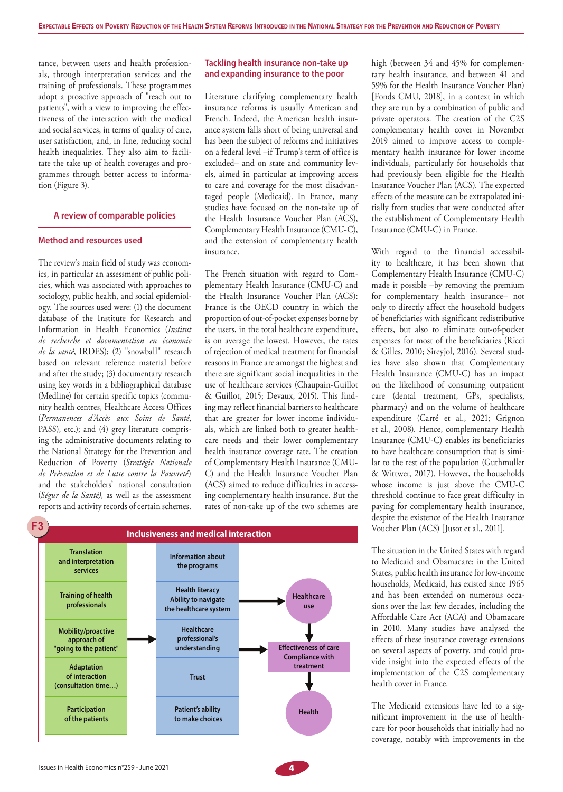tance, between users and health professionals, through interpretation services and the training of professionals. These programmes adopt a proactive approach of "reach out to patients", with a view to improving the effectiveness of the interaction with the medical and social services, in terms of quality of care, user satisfaction, and, in fine, reducing social health inequalities. They also aim to facilitate the take up of health coverages and programmes through better access to information (Figure 3).

#### **A review of comparable policies**

#### **Method and resources used**

The review's main field of study was economics, in particular an assessment of public policies, which was associated with approaches to sociology, public health, and social epidemiology. The sources used were: (1) the document database of the Institute for Research and Information in Health Economics (*Institut de recherche et documentation en économie de la santé*, IRDES); (2) "snowball" research based on relevant reference material before and after the study; (3) documentary research using key words in a bibliographical database (Medline) for certain specific topics (community health centres, Healthcare Access Offices (*Permanences d'Accès aux Soins de Santé*, PASS), etc.); and (4) grey literature comprising the administrative documents relating to the National Strategy for the Prevention and Reduction of Poverty (*Stratégie Nationale de Prévention et de Lutte contre la Pauvreté*) and the stakeholders' national consultation (*Ségur de la Santé)*, as well as the assessment reports and activity records of certain schemes.

#### **Tackling health insurance non-take up and expanding insurance to the poor**

Literature clarifying complementary health insurance reforms is usually American and French. Indeed, the American health insurance system falls short of being universal and has been the subject of reforms and initiatives on a federal level –if Trump's term of office is excluded– and on state and community levels, aimed in particular at improving access to care and coverage for the most disadvantaged people (Medicaid). In France, many studies have focused on the non-take up of the Health Insurance Voucher Plan (ACS), Complementary Health Insurance (CMU-C), and the extension of complementary health insurance.

The French situation with regard to Complementary Health Insurance (CMU-C) and the Health Insurance Voucher Plan (ACS): France is the OECD country in which the proportion of out-of-pocket expenses borne by the users, in the total healthcare expenditure, is on average the lowest. However, the rates of rejection of medical treatment for financial reasons in France are amongst the highest and there are significant social inequalities in the use of healthcare services (Chaupain-Guillot & Guillot, 2015; Devaux, 2015). This finding may reflect financial barriers to healthcare that are greater for lower income individuals, which are linked both to greater healthcare needs and their lower complementary health insurance coverage rate. The creation of Complementary Health Insurance (CMU-C) and the Health Insurance Voucher Plan (ACS) aimed to reduce difficulties in accessing complementary health insurance. But the rates of non-take up of the two schemes are



high (between 34 and 45% for complementary health insurance, and between 41 and 59% for the Health Insurance Voucher Plan) [Fonds CMU, 2018], in a context in which they are run by a combination of public and private operators. The creation of the C2S complementary health cover in November 2019 aimed to improve access to complementary health insurance for lower income individuals, particularly for households that had previously been eligible for the Health Insurance Voucher Plan (ACS). The expected effects of the measure can be extrapolated initially from studies that were conducted after the establishment of Complementary Health Insurance (CMU-C) in France.

With regard to the financial accessibility to healthcare, it has been shown that Complementary Health Insurance (CMU-C) made it possible –by removing the premium for complementary health insurance– not only to directly affect the household budgets of beneficiaries with significant redistributive effects, but also to eliminate out-of-pocket expenses for most of the beneficiaries (Ricci & Gilles, 2010; Sireyjol, 2016). Several studies have also shown that Complementary Health Insurance (CMU-C) has an impact on the likelihood of consuming outpatient care (dental treatment, GPs, specialists, pharmacy) and on the volume of healthcare expenditure (Carré et al., 2021; Grignon et al., 2008). Hence, complementary Health Insurance (CMU-C) enables its beneficiaries to have healthcare consumption that is similar to the rest of the population (Guthmuller & Wittwer, 2017). However, the households whose income is just above the CMU-C threshold continue to face great difficulty in paying for complementary health insurance, despite the existence of the Health Insurance Voucher Plan (ACS) [Jusot et al., 2011].

The situation in the United States with regard to Medicaid and Obamacare: in the United States, public health insurance for low-income households, Medicaid, has existed since 1965 and has been extended on numerous occasions over the last few decades, including the Affordable Care Act (ACA) and Obamacare in 2010. Many studies have analysed the effects of these insurance coverage extensions on several aspects of poverty, and could provide insight into the expected effects of the implementation of the C2S complementary health cover in France.

The Medicaid extensions have led to a significant improvement in the use of healthcare for poor households that initially had no coverage, notably with improvements in the

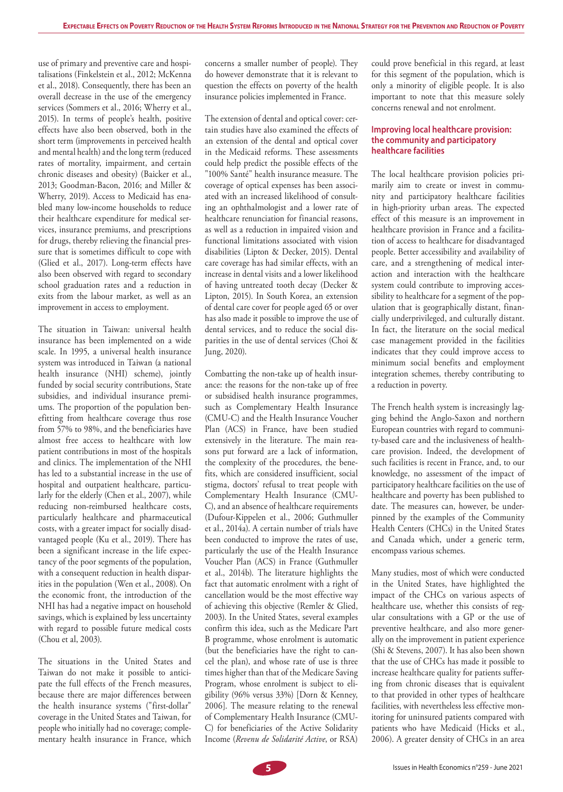use of primary and preventive care and hospitalisations (Finkelstein et al., 2012; McKenna et al., 2018). Consequently, there has been an overall decrease in the use of the emergency services (Sommers et al., 2016; Wherry et al., 2015). In terms of people's health, positive effects have also been observed, both in the short term (improvements in perceived health and mental health) and the long term (reduced rates of mortality, impairment, and certain chronic diseases and obesity) (Baicker et al., 2013; Goodman-Bacon, 2016; and Miller & Wherry, 2019). Access to Medicaid has enabled many low-income households to reduce their healthcare expenditure for medical services, insurance premiums, and prescriptions for drugs, thereby relieving the financial pressure that is sometimes difficult to cope with (Glied et al., 2017). Long-term effects have also been observed with regard to secondary school graduation rates and a reduction in exits from the labour market, as well as an improvement in access to employment.

The situation in Taiwan: universal health insurance has been implemented on a wide scale. In 1995, a universal health insurance system was introduced in Taiwan (a national health insurance (NHI) scheme), jointly funded by social security contributions, State subsidies, and individual insurance premiums. The proportion of the population benefitting from healthcare coverage thus rose from 57% to 98%, and the beneficiaries have almost free access to healthcare with low patient contributions in most of the hospitals and clinics. The implementation of the NHI has led to a substantial increase in the use of hospital and outpatient healthcare, particularly for the elderly (Chen et al., 2007), while reducing non-reimbursed healthcare costs, particularly healthcare and pharmaceutical costs, with a greater impact for socially disadvantaged people (Ku et al., 2019). There has been a significant increase in the life expectancy of the poor segments of the population, with a consequent reduction in health disparities in the population (Wen et al., 2008). On the economic front, the introduction of the NHI has had a negative impact on household savings, which is explained by less uncertainty with regard to possible future medical costs (Chou et al, 2003).

The situations in the United States and Taiwan do not make it possible to anticipate the full effects of the French measures, because there are major differences between the health insurance systems ("first-dollar" coverage in the United States and Taiwan, for people who initially had no coverage; complementary health insurance in France, which

concerns a smaller number of people). They do however demonstrate that it is relevant to question the effects on poverty of the health insurance policies implemented in France.

The extension of dental and optical cover: certain studies have also examined the effects of an extension of the dental and optical cover in the Medicaid reforms. These assessments could help predict the possible effects of the "100% Santé" health insurance measure. The coverage of optical expenses has been associated with an increased likelihood of consulting an ophthalmologist and a lower rate of healthcare renunciation for financial reasons, as well as a reduction in impaired vision and functional limitations associated with vision disabilities (Lipton & Decker, 2015). Dental care coverage has had similar effects, with an increase in dental visits and a lower likelihood of having untreated tooth decay (Decker & Lipton, 2015). In South Korea, an extension of dental care cover for people aged 65 or over has also made it possible to improve the use of dental services, and to reduce the social disparities in the use of dental services (Choi & Jung, 2020).

Combatting the non-take up of health insurance: the reasons for the non-take up of free or subsidised health insurance programmes, such as Complementary Health Insurance (CMU-C) and the Health Insurance Voucher Plan (ACS) in France, have been studied extensively in the literature. The main reasons put forward are a lack of information, the complexity of the procedures, the benefits, which are considered insufficient, social stigma, doctors' refusal to treat people with Complementary Health Insurance (CMU-C), and an absence of healthcare requirements (Dufour-Kippelen et al., 2006; Guthmuller et al., 2014a). A certain number of trials have been conducted to improve the rates of use, particularly the use of the Health Insurance Voucher Plan (ACS) in France (Guthmuller et al., 2014b). The literature highlights the fact that automatic enrolment with a right of cancellation would be the most effective way of achieving this objective (Remler & Glied, 2003). In the United States, several examples confirm this idea, such as the Medicare Part B programme, whose enrolment is automatic (but the beneficiaries have the right to cancel the plan), and whose rate of use is three times higher than that of the Medicare Saving Program, whose enrolment is subject to eligibility (96% versus 33%) [Dorn & Kenney, 2006]. The measure relating to the renewal of Complementary Health Insurance (CMU-C) for beneficiaries of the Active Solidarity Income (*Revenu de Solidarité Active*, or RSA)

could prove beneficial in this regard, at least for this segment of the population, which is only a minority of eligible people. It is also important to note that this measure solely concerns renewal and not enrolment.

#### **Improving local healthcare provision: the community and participatory healthcare facilities**

The local healthcare provision policies primarily aim to create or invest in community and participatory healthcare facilities in high-priority urban areas. The expected effect of this measure is an improvement in healthcare provision in France and a facilitation of access to healthcare for disadvantaged people. Better accessibility and availability of care, and a strengthening of medical interaction and interaction with the healthcare system could contribute to improving accessibility to healthcare for a segment of the population that is geographically distant, financially underprivileged, and culturally distant. In fact, the literature on the social medical case management provided in the facilities indicates that they could improve access to minimum social benefits and employment integration schemes, thereby contributing to a reduction in poverty.

The French health system is increasingly lagging behind the Anglo-Saxon and northern European countries with regard to community-based care and the inclusiveness of healthcare provision. Indeed, the development of such facilities is recent in France, and, to our knowledge, no assessment of the impact of participatory healthcare facilities on the use of healthcare and poverty has been published to date. The measures can, however, be underpinned by the examples of the Community Health Centers (CHCs) in the United States and Canada which, under a generic term, encompass various schemes.

Many studies, most of which were conducted in the United States, have highlighted the impact of the CHCs on various aspects of healthcare use, whether this consists of regular consultations with a GP or the use of preventive healthcare, and also more generally on the improvement in patient experience (Shi & Stevens, 2007). It has also been shown that the use of CHCs has made it possible to increase healthcare quality for patients suffering from chronic diseases that is equivalent to that provided in other types of healthcare facilities, with nevertheless less effective monitoring for uninsured patients compared with patients who have Medicaid (Hicks et al., 2006). A greater density of CHCs in an area

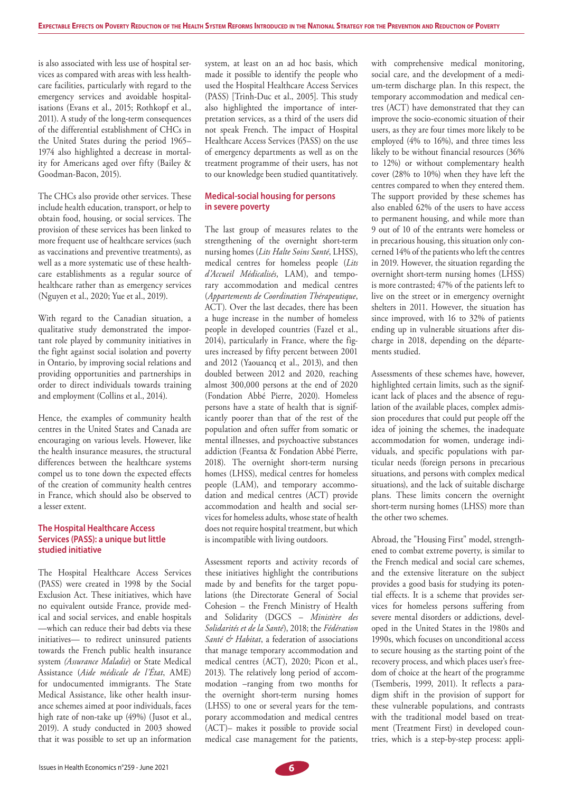is also associated with less use of hospital services as compared with areas with less healthcare facilities, particularly with regard to the emergency services and avoidable hospitalisations (Evans et al., 2015; Rothkopf et al., 2011). A study of the long-term consequences of the differential establishment of CHCs in the United States during the period 1965– 1974 also highlighted a decrease in mortality for Americans aged over fifty (Bailey & Goodman-Bacon, 2015).

The CHCs also provide other services. These include health education, transport, or help to obtain food, housing, or social services. The provision of these services has been linked to more frequent use of healthcare services (such as vaccinations and preventive treatments), as well as a more systematic use of these healthcare establishments as a regular source of healthcare rather than as emergency services (Nguyen et al., 2020; Yue et al., 2019).

With regard to the Canadian situation, a qualitative study demonstrated the important role played by community initiatives in the fight against social isolation and poverty in Ontario, by improving social relations and providing opportunities and partnerships in order to direct individuals towards training and employment (Collins et al., 2014).

Hence, the examples of community health centres in the United States and Canada are encouraging on various levels. However, like the health insurance measures, the structural differences between the healthcare systems compel us to tone down the expected effects of the creation of community health centres in France, which should also be observed to a lesser extent.

#### **The Hospital Healthcare Access Services (PASS): a unique but little studied initiative**

The Hospital Healthcare Access Services (PASS) were created in 1998 by the Social Exclusion Act. These initiatives, which have no equivalent outside France, provide medical and social services, and enable hospitals —which can reduce their bad debts via these initiatives— to redirect uninsured patients towards the French public health insurance system *(Assurance Maladie*) or State Medical Assistance (*Aide médicale de l'État*, AME) for undocumented immigrants. The State Medical Assistance, like other health insurance schemes aimed at poor individuals, faces high rate of non-take up (49%) (Jusot et al., 2019). A study conducted in 2003 showed that it was possible to set up an information

system, at least on an ad hoc basis, which made it possible to identify the people who used the Hospital Healthcare Access Services (PASS) [Trinh-Duc et al., 2005]. This study also highlighted the importance of interpretation services, as a third of the users did not speak French. The impact of Hospital Healthcare Access Services (PASS) on the use of emergency departments as well as on the treatment programme of their users, has not to our knowledge been studied quantitatively.

#### **Medical-social housing for persons in severe poverty**

The last group of measures relates to the strengthening of the overnight short-term nursing homes (*Lits Halte Soins Santé*, LHSS), medical centres for homeless people (*Lits d'Accueil Médicalisés*, LAM), and temporary accommodation and medical centres (*Appartements de Coordination Thérapeutique*, ACT). Over the last decades, there has been a huge increase in the number of homeless people in developed countries (Fazel et al., 2014), particularly in France, where the figures increased by fifty percent between 2001 and 2012 (Yaouancq et al., 2013), and then doubled between 2012 and 2020, reaching almost 300,000 persons at the end of 2020 (Fondation Abbé Pierre, 2020). Homeless persons have a state of health that is significantly poorer than that of the rest of the population and often suffer from somatic or mental illnesses, and psychoactive substances addiction (Feantsa & Fondation Abbé Pierre, 2018). The overnight short-term nursing homes (LHSS), medical centres for homeless people (LAM), and temporary accommodation and medical centres (ACT) provide accommodation and health and social services for homeless adults, whose state of health does not require hospital treatment, but which is incompatible with living outdoors.

Assessment reports and activity records of these initiatives highlight the contributions made by and benefits for the target populations (the Directorate General of Social Cohesion – the French Ministry of Health and Solidarity (DGCS – *Ministère des Solidarités et de la Santé*), 2018; the *Fédération Santé & Habitat*, a federation of associations that manage temporary accommodation and medical centres (ACT), 2020; Picon et al., 2013). The relatively long period of accommodation –ranging from two months for the overnight short-term nursing homes (LHSS) to one or several years for the temporary accommodation and medical centres (ACT)– makes it possible to provide social medical case management for the patients,

with comprehensive medical monitoring, social care, and the development of a medium-term discharge plan. In this respect, the temporary accommodation and medical centres (ACT) have demonstrated that they can improve the socio-economic situation of their users, as they are four times more likely to be employed (4% to 16%), and three times less likely to be without financial resources (36% to 12%) or without complementary health cover (28% to 10%) when they have left the centres compared to when they entered them. The support provided by these schemes has also enabled 62% of the users to have access to permanent housing, and while more than 9 out of 10 of the entrants were homeless or in precarious housing, this situation only concerned 14% of the patients who left the centres in 2019. However, the situation regarding the overnight short-term nursing homes (LHSS) is more contrasted; 47% of the patients left to live on the street or in emergency overnight shelters in 2011. However, the situation has since improved, with 16 to 32% of patients ending up in vulnerable situations after discharge in 2018, depending on the départements studied.

Assessments of these schemes have, however, highlighted certain limits, such as the significant lack of places and the absence of regulation of the available places, complex admission procedures that could put people off the idea of joining the schemes, the inadequate accommodation for women, underage individuals, and specific populations with particular needs (foreign persons in precarious situations, and persons with complex medical situations), and the lack of suitable discharge plans. These limits concern the overnight short-term nursing homes (LHSS) more than the other two schemes.

Abroad, the "Housing First" model, strengthened to combat extreme poverty, is similar to the French medical and social care schemes, and the extensive literature on the subject provides a good basis for studying its potential effects. It is a scheme that provides services for homeless persons suffering from severe mental disorders or addictions, developed in the United States in the 1980s and 1990s, which focuses on unconditional access to secure housing as the starting point of the recovery process, and which places user's freedom of choice at the heart of the programme (Tsemberis, 1999, 2011). It reflects a paradigm shift in the provision of support for these vulnerable populations, and contrasts with the traditional model based on treatment (Treatment First) in developed countries, which is a step-by-step process: appli-

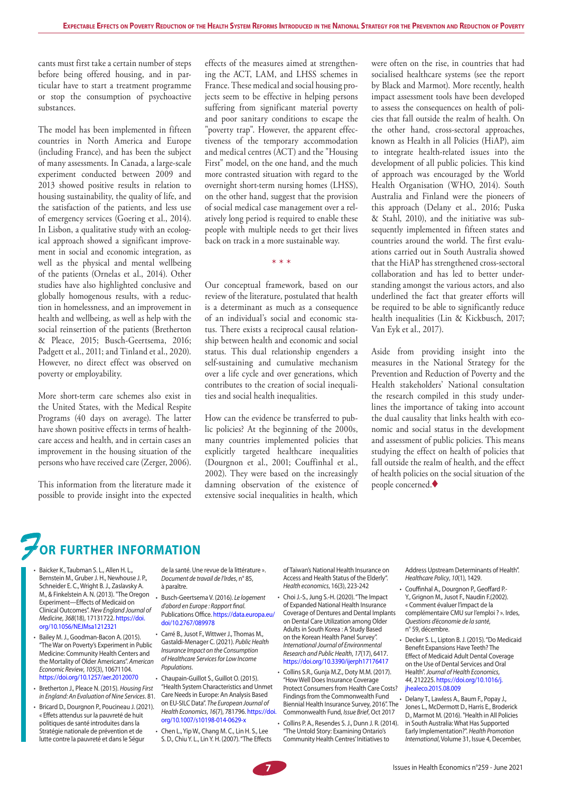cants must first take a certain number of steps before being offered housing, and in particular have to start a treatment programme or stop the consumption of psychoactive substances.

The model has been implemented in fifteen countries in North America and Europe (including France), and has been the subject of many assessments. In Canada, a large-scale experiment conducted between 2009 and 2013 showed positive results in relation to housing sustainability, the quality of life, and the satisfaction of the patients, and less use of emergency services (Goering et al., 2014). In Lisbon, a qualitative study with an ecological approach showed a significant improvement in social and economic integration, as well as the physical and mental wellbeing of the patients (Ornelas et al., 2014). Other studies have also highlighted conclusive and globally homogenous results, with a reduction in homelessness, and an improvement in health and wellbeing, as well as help with the social reinsertion of the patients (Bretherton & Pleace, 2015; Busch-Geertsema, 2016; Padgett et al., 2011; and Tinland et al., 2020). However, no direct effect was observed on poverty or employability.

More short-term care schemes also exist in the United States, with the Medical Respite Programs (40 days on average). The latter have shown positive effects in terms of healthcare access and health, and in certain cases an improvement in the housing situation of the persons who have received care (Zerger, 2006).

This information from the literature made it possible to provide insight into the expected effects of the measures aimed at strengthening the ACT, LAM, and LHSS schemes in France. These medical and social housing projects seem to be effective in helping persons suffering from significant material poverty and poor sanitary conditions to escape the "poverty trap". However, the apparent effectiveness of the temporary accommodation and medical centres (ACT) and the "Housing First" model, on the one hand, and the much more contrasted situation with regard to the overnight short-term nursing homes (LHSS), on the other hand, suggest that the provision of social medical case management over a relatively long period is required to enable these people with multiple needs to get their lives back on track in a more sustainable way.

\* \* \*

Our conceptual framework, based on our review of the literature, postulated that health is a determinant as much as a consequence of an individual's social and economic status. There exists a reciprocal causal relationship between health and economic and social status. This dual relationship engenders a self-sustaining and cumulative mechanism over a life cycle and over generations, which contributes to the creation of social inequalities and social health inequalities.

How can the evidence be transferred to public policies? At the beginning of the 2000s, many countries implemented policies that explicitly targeted healthcare inequalities (Dourgnon et al., 2001; Couffinhal et al., 2002). They were based on the increasingly damning observation of the existence of extensive social inequalities in health, which

were often on the rise, in countries that had socialised healthcare systems (see the report by Black and Marmot). More recently, health impact assessment tools have been developed to assess the consequences on health of policies that fall outside the realm of health. On the other hand, cross-sectoral approaches, known as Health in all Policies (HiAP), aim to integrate health-related issues into the development of all public policies. This kind of approach was encouraged by the World Health Organisation (WHO, 2014). South Australia and Finland were the pioneers of this approach (Delany et al., 2016; Puska & Stahl, 2010), and the initiative was subsequently implemented in fifteen states and countries around the world. The first evaluations carried out in South Australia showed that the HiAP has strengthened cross-sectoral collaboration and has led to better understanding amongst the various actors, and also underlined the fact that greater efforts will be required to be able to significantly reduce health inequalities (Lin & Kickbusch, 2017; Van Eyk et al., 2017).

Aside from providing insight into the measures in the National Strategy for the Prevention and Reduction of Poverty and the Health stakeholders' National consultation the research compiled in this study underlines the importance of taking into account the dual causality that links health with economic and social status in the development and assessment of public policies. This means studying the effect on health of policies that fall outside the realm of health, and the effect of health policies on the social situation of the people concerned.

## *F***or further information**

- Baicker K., Taubman S. L., Allen H. L., Bernstein M., Gruber J. H., Newhouse J. P., Schneider E. C., Wright B. J., Zaslavsky A. M., & Finkelstein A. N. (2013). "The Oregon Experiment—Effects of Medicaid on Clinical Outcomes". *New England Journal of Medicine*, *368*(18), 17131722. [https://doi.](https://doi.org/10.1056/NEJMsa1212321) [org/10.1056/NEJMsa1212321](https://doi.org/10.1056/NEJMsa1212321)
- Bailey M. J., Goodman-Bacon A. (2015). "The War on Poverty's Experiment in Public Medicine: Community Health Centers and the Mortality of Older Americans". *American Economic Review*, *105*(3), 10671104. https://doi.org/10.1257/aer.20120070
- Bretherton J., Pleace N. (2015). *Housing First in England: An Evaluation of Nine Services*. 81.
- Bricard D., Dourgnon P., Poucineau J. (2021). « Effets attendus sur la pauvreté de huit politiques de santé introduites dans la Stratégie nationale de prévention et de lutte contre la pauvreté et dans le Ségur

de la santé. Une revue de la littérature ». *Document de travail de l'Irdes*, n° 85, à paraître.

- Busch-Geertsema V. (2016). *Le logement d'abord en Europe : Rapport final*. Publications Office. [https://data.europa.eu/](https://data.europa.eu/doi/10.2767/089978) [doi/10.2767/089978](https://data.europa.eu/doi/10.2767/089978)
- Carré B., Jusot F., Wittwer J., Thomas M., Gastaldi-Menager C. (2021). *Public Health Insurance Impact on the Consumption of Healthcare Services for Low Income Populations*.
- Chaupain-Guillot S., Guillot O. (2015). "Health System Characteristics and Unmet Care Needs in Europe: An Analysis Based on EU-SILC Data". *The European Journal of Health Economics*, *16*(7), 781796. [https://doi.](https://doi.org/10.1007/s10198-014-0629-x) [org/10.1007/s10198-014-0629-x](https://doi.org/10.1007/s10198-014-0629-x)
- Chen L., Yip W., Chang M. C., Lin H. S., Lee S. D., Chiu Y. L., Lin Y. H. (2007). "The Effects

of Taiwan's National Health Insurance on Access and Health Status of the Elderly". *Health economics*, 16(3), 223-242

- Choi J.-S., Jung S.-H. (2020). "The Impact of Expanded National Health Insurance Coverage of Dentures and Dental Implants on Dental Care Utilization among Older Adults in South Korea : A Study Based on the Korean Health Panel Survey". *International Journal of Environmental Research and Public Health*, *17*(17), 6417. <https://doi.org/10.3390/ijerph17176417>
- Collins S.R., Gunja M.Z., Doty M.M. (2017). "How Well Does Insurance Coverage Protect Consumers from Health Care Costs? Findings from the Commonwealth Fund Biennial Health Insurance Survey, 2016". The Commonwealth Fund, *Issue Brief*, Oct 2017

• Collins P. A., Resendes S. J., Dunn J. R. (2014). "The Untold Story: Examining Ontario's Community Health Centres' Initiatives to

Address Upstream Determinants of Health". *Healthcare Policy*, *10*(1), 1429.

- Couffinhal A., Dourgnon P., Geoffard P.- Y., Grignon M., Jusot F., Naudin F.(2002). « Comment évaluer l'impact de la complémentaire CMU sur l'emploi ? ». Irdes, *Questions d'économie de la santé*, n° 59, décembre.
- Decker S. L., Lipton B. J. (2015). "Do Medicaid Benefit Expansions Have Teeth? The Effect of Medicaid Adult Dental Coverage on the Use of Dental Services and Oral Health". *Journal of Health Economics*, *44*, 212225. [https://doi.org/10.1016/j.](https://doi.org/10.1016/j.jhealeco.2015.08.009) [jhealeco.2015.08.009](https://doi.org/10.1016/j.jhealeco.2015.08.009)
- Delany T., Lawless A., Baum F., Popay J., Jones L., McDermott D., Harris E., Broderick D., Marmot M. (2016). "Health in All Policies in South Australia: What Has Supported Early Implementation?". *Health Promotion International*, Volume 31, Issue 4, December,